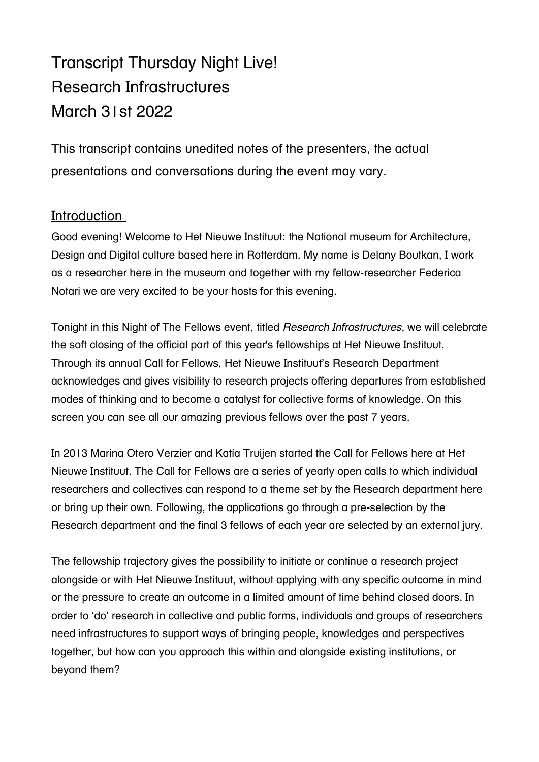# Transcript Thursday Night Live! Research Infrastructures March 31st 2022

This transcript contains unedited notes of the presenters, the actual presentations and conversations during the event may vary.

# **Introduction**

Good evening! Welcome to Het Nieuwe Instituut: the National museum for Architecture, Design and Digital culture based here in Rotterdam. My name is Delany Boutkan, I work as a researcher here in the museum and together with my fellow-researcher Federica Notari we are very excited to be your hosts for this evening.

Tonight in this Night of The Fellows event, titled *Research Infrastructures,* we will celebrate the soft closing of the official part of this year's fellowships at Het Nieuwe Instituut. Through its annual Call for Fellows, Het Nieuwe Instituut's Research Department acknowledges and gives visibility to research projects offering departures from established modes of thinking and to become a catalyst for collective forms of knowledge. On this screen you can see all our amazing previous fellows over the past 7 years.

In 2013 Marina Otero Verzier and Katía Truijen started the Call for Fellows here at Het Nieuwe Instituut. The Call for Fellows are a series of yearly open calls to which individual researchers and collectives can respond to a theme set by the Research department here or bring up their own. Following, the applications go through a pre-selection by the Research department and the final 3 fellows of each year are selected by an external jury.

The fellowship trajectory gives the possibility to initiate or continue a research project alongside or with Het Nieuwe Instituut, without applying with any specific outcome in mind or the pressure to create an outcome in a limited amount of time behind closed doors. In order to 'do' research in collective and public forms, individuals and groups of researchers need infrastructures to support ways of bringing people, knowledges and perspectives together, but how can you approach this within and alongside existing institutions, or beyond them?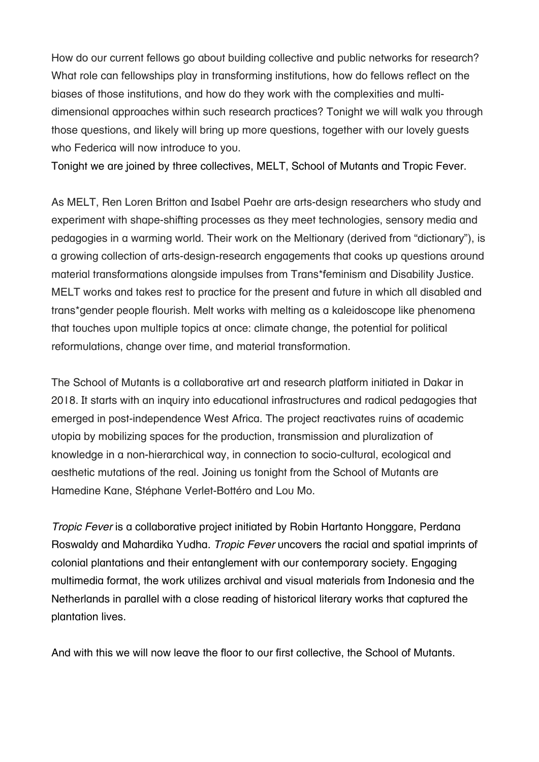How do our current fellows go about building collective and public networks for research? What role can fellowships play in transforming institutions, how do fellows reflect on the biases of those institutions, and how do they work with the complexities and multidimensional approaches within such research practices? Tonight we will walk you through those questions, and likely will bring up more questions, together with our lovely guests who Federica will now introduce to you.

Tonight we are joined by three collectives, MELT, School of Mutants and Tropic Fever.

As MELT, Ren Loren Britton and Isabel Paehr are arts-design researchers who study and experiment with shape-shifting processes as they meet technologies, sensory media and pedagogies in a warming world. Their work on the Meltionary (derived from "dictionary"), is a growing collection of arts-design-research engagements that cooks up questions around material transformations alongside impulses from Trans\*feminism and Disability Justice. MELT works and takes rest to practice for the present and future in which all disabled and trans\*gender people flourish. Melt works with melting as a kaleidoscope like phenomena that touches upon multiple topics at once: climate change, the potential for political reformulations, change over time, and material transformation.

The School of Mutants is a collaborative art and research platform initiated in Dakar in 2018. It starts with an inquiry into educational infrastructures and radical pedagogies that emerged in post-independence West Africa. The project reactivates ruins of academic utopia by mobilizing spaces for the production, transmission and pluralization of knowledge in a non-hierarchical way, in connection to socio-cultural, ecological and aesthetic mutations of the real. Joining us tonight from the School of Mutants are Hamedine Kane, Stéphane Verlet-Bottéro and Lou Mo.

*Tropic Fever* is a collaborative project initiated by Robin Hartanto Honggare, Perdana Roswaldy and Mahardika Yudha. *Tropic Fever* uncovers the racial and spatial imprints of colonial plantations and their entanglement with our contemporary society. Engaging multimedia format, the work utilizes archival and visual materials from Indonesia and the Netherlands in parallel with a close reading of historical literary works that captured the plantation lives.

And with this we will now leave the floor to our first collective, the School of Mutants.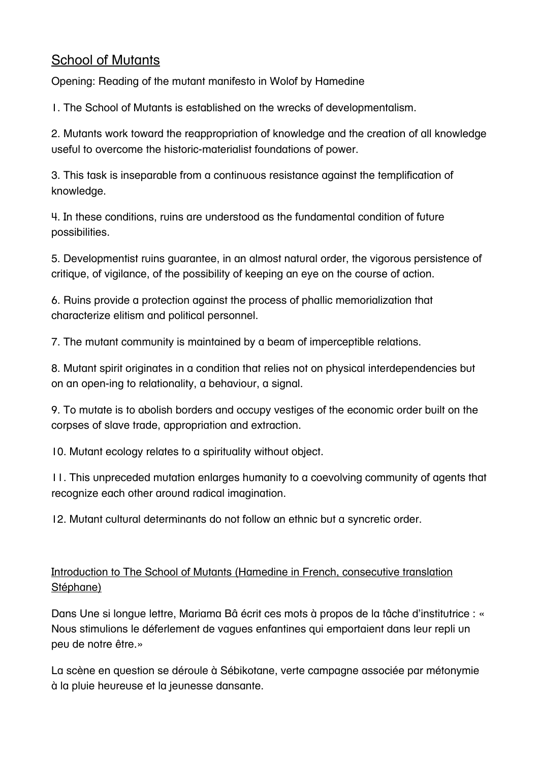# School of Mutants

Opening: Reading of the mutant manifesto in Wolof by Hamedine

1. The School of Mutants is established on the wrecks of developmentalism.

2. Mutants work toward the reappropriation of knowledge and the creation of all knowledge useful to overcome the historic-materialist foundations of power.

3. This task is inseparable from a continuous resistance against the templification of knowledge.

4. In these conditions, ruins are understood as the fundamental condition of future possibilities.

5. Developmentist ruins guarantee, in an almost natural order, the vigorous persistence of critique, of vigilance, of the possibility of keeping an eye on the course of action.

6. Ruins provide a protection against the process of phallic memorialization that characterize elitism and political personnel.

7. The mutant community is maintained by a beam of imperceptible relations.

8. Mutant spirit originates in a condition that relies not on physical interdependencies but on an open-ing to relationality, a behaviour, a signal.

9. To mutate is to abolish borders and occupy vestiges of the economic order built on the corpses of slave trade, appropriation and extraction.

10. Mutant ecology relates to a spirituality without object.

11. This unpreceded mutation enlarges humanity to a coevolving community of agents that recognize each other around radical imagination.

12. Mutant cultural determinants do not follow an ethnic but a syncretic order.

# Introduction to The School of Mutants (Hamedine in French, consecutive translation Stéphane)

Dans Une si longue lettre, Mariama Bâ écrit ces mots à propos de la tâche d'institutrice : « Nous stimulions le déferlement de vagues enfantines qui emportaient dans leur repli un peu de notre être.»

La scène en question se déroule à Sébikotane, verte campagne associée par métonymie à la pluie heureuse et la jeunesse dansante.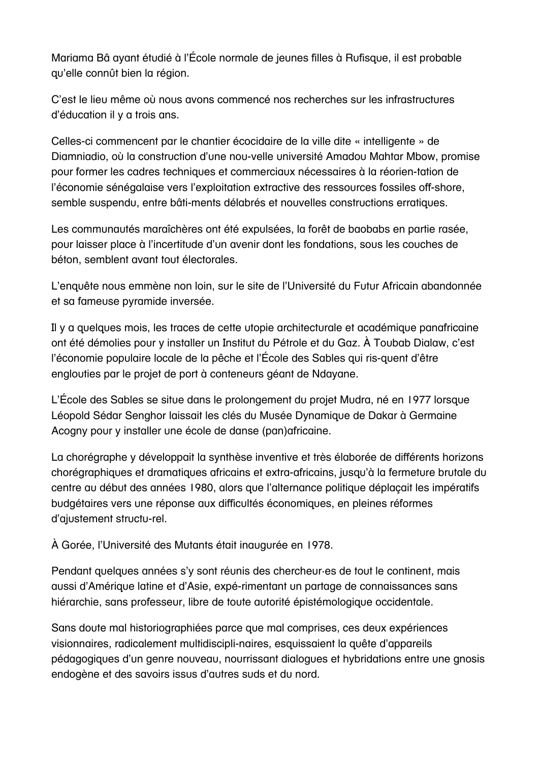Mariama Bâ ayant étudié à l'École normale de jeunes filles à Rufisque, il est probable qu'elle connût bien la région.

C'est le lieu même où nous avons commencé nos recherches sur les infrastructures d'éducation il y a trois ans.

Celles-ci commencent par le chantier écocidaire de la ville dite « intelligente » de Diamniadio, où la construction d'une nou-velle université Amadou Mahtar Mbow, promise pour former les cadres techniques et commerciaux nécessaires à la réorien-tation de l'économie sénégalaise vers l'exploitation extractive des ressources fossiles off-shore, semble suspendu, entre bâti-ments délabrés et nouvelles constructions erratiques.

Les communautés maraîchères ont été expulsées, la forêt de baobabs en partie rasée, pour laisser place à l'incertitude d'un avenir dont les fondations, sous les couches de béton, semblent avant tout électorales.

L'enquête nous emmène non loin, sur le site de l'Université du Futur Africain abandonnée et sa fameuse pyramide inversée.

Il y a quelques mois, les traces de cette utopie architecturale et académique panafricaine ont été démolies pour y installer un Institut du Pétrole et du Gaz. À Toubab Dialaw, c'est l'économie populaire locale de la pêche et l'École des Sables qui ris-quent d'être englouties par le projet de port à conteneurs géant de Ndayane.

L'École des Sables se situe dans le prolongement du projet Mudra, né en 1977 lorsque Léopold Sédar Senghor laissait les clés du Musée Dynamique de Dakar à Germaine Acogny pour y installer une école de danse (pan)africaine.

La chorégraphe y développait la synthèse inventive et très élaborée de différents horizons chorégraphiques et dramatiques africains et extra-africains, jusqu'à la fermeture brutale du centre au début des années 1980, alors que l'alternance politique déplaçait les impératifs budgétaires vers une réponse aux difficultés économiques, en pleines réformes d'ajustement structu-rel.

À Gorée, l'Université des Mutants était inaugurée en 1978.

Pendant quelques années s'y sont réunis des chercheur·es de tout le continent, mais aussi d'Amérique latine et d'Asie, expé-rimentant un partage de connaissances sans hiérarchie, sans professeur, libre de toute autorité épistémologique occidentale.

Sans doute mal historiographiées parce que mal comprises, ces deux expériences visionnaires, radicalement multidiscipli-naires, esquissaient la quête d'appareils pédagogiques d'un genre nouveau, nourrissant dialogues et hybridations entre une gnosis endogène et des savoirs issus d'autres suds et du nord.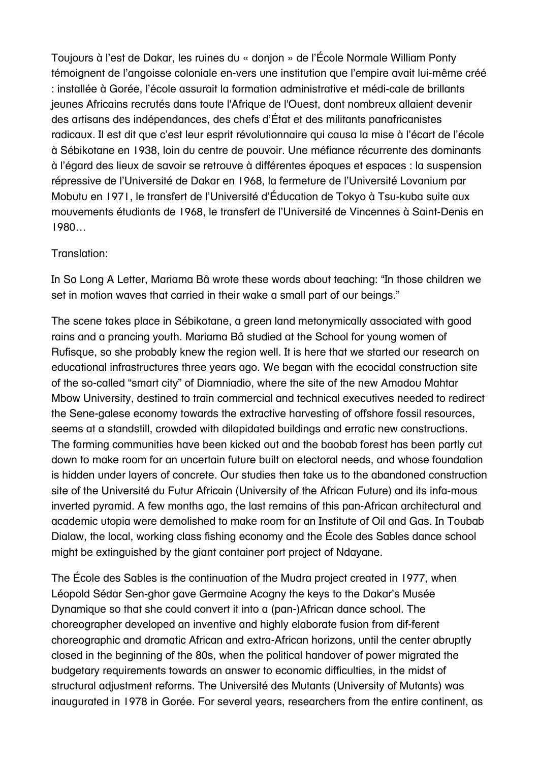Toujours à l'est de Dakar, les ruines du « donjon » de l'École Normale William Ponty témoignent de l'angoisse coloniale en-vers une institution que l'empire avait lui-même créé : installée à Gorée, l'école assurait la formation administrative et médi-cale de brillants jeunes Africains recrutés dans toute l'Afrique de l'Ouest, dont nombreux allaient devenir des artisans des indépendances, des chefs d'État et des militants panafricanistes radicaux. Il est dit que c'est leur esprit révolutionnaire qui causa la mise à l'écart de l'école à Sébikotane en 1938, loin du centre de pouvoir. Une méfiance récurrente des dominants à l'égard des lieux de savoir se retrouve à différentes époques et espaces : la suspension répressive de l'Université de Dakar en 1968, la fermeture de l'Université Lovanium par Mobutu en 1971, le transfert de l'Université d'Éducation de Tokyo à Tsu-kuba suite aux mouvements étudiants de 1968, le transfert de l'Université de Vincennes à Saint-Denis en 1980…

#### Translation:

In So Long A Letter, Mariama Bâ wrote these words about teaching: "In those children we set in motion waves that carried in their wake a small part of our beings."

The scene takes place in Sébikotane, a green land metonymically associated with good rains and a prancing youth. Mariama Bâ studied at the School for young women of Rufisque, so she probably knew the region well. It is here that we started our research on educational infrastructures three years ago. We began with the ecocidal construction site of the so-called "smart city" of Diamniadio, where the site of the new Amadou Mahtar Mbow University, destined to train commercial and technical executives needed to redirect the Sene-galese economy towards the extractive harvesting of offshore fossil resources, seems at a standstill, crowded with dilapidated buildings and erratic new constructions. The farming communities have been kicked out and the baobab forest has been partly cut down to make room for an uncertain future built on electoral needs, and whose foundation is hidden under layers of concrete. Our studies then take us to the abandoned construction site of the Université du Futur Africain (University of the African Future) and its infa-mous inverted pyramid. A few months ago, the last remains of this pan-African architectural and academic utopia were demolished to make room for an Institute of Oil and Gas. In Toubab Dialaw, the local, working class fishing economy and the École des Sables dance school might be extinguished by the giant container port project of Ndayane.

The École des Sables is the continuation of the Mudra project created in 1977, when Léopold Sédar Sen-ghor gave Germaine Acogny the keys to the Dakar's Musée Dynamique so that she could convert it into a (pan-)African dance school. The choreographer developed an inventive and highly elaborate fusion from dif-ferent choreographic and dramatic African and extra-African horizons, until the center abruptly closed in the beginning of the 80s, when the political handover of power migrated the budgetary requirements towards an answer to economic difficulties, in the midst of structural adjustment reforms. The Université des Mutants (University of Mutants) was inaugurated in 1978 in Gorée. For several years, researchers from the entire continent, as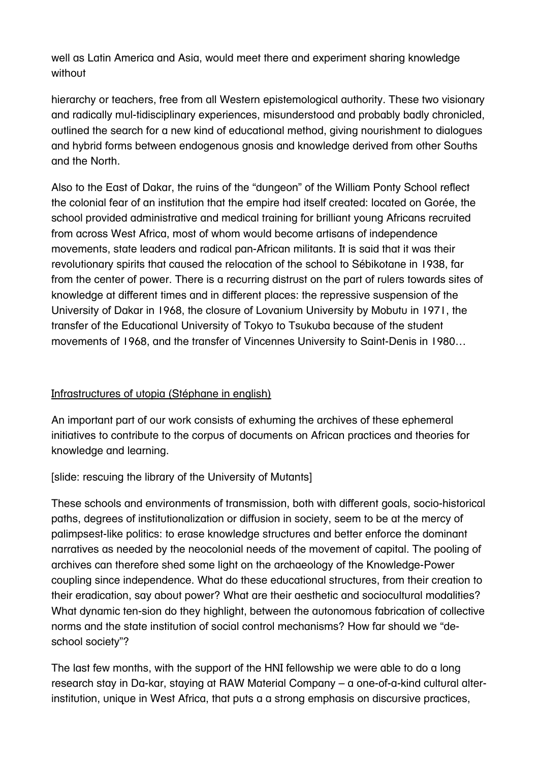well as Latin America and Asia, would meet there and experiment sharing knowledge without

hierarchy or teachers, free from all Western epistemological authority. These two visionary and radically mul-tidisciplinary experiences, misunderstood and probably badly chronicled, outlined the search for a new kind of educational method, giving nourishment to dialogues and hybrid forms between endogenous gnosis and knowledge derived from other Souths and the North.

Also to the East of Dakar, the ruins of the "dungeon" of the William Ponty School reflect the colonial fear of an institution that the empire had itself created: located on Gorée, the school provided administrative and medical training for brilliant young Africans recruited from across West Africa, most of whom would become artisans of independence movements, state leaders and radical pan-African militants. It is said that it was their revolutionary spirits that caused the relocation of the school to Sébikotane in 1938, far from the center of power. There is a recurring distrust on the part of rulers towards sites of knowledge at different times and in different places: the repressive suspension of the University of Dakar in 1968, the closure of Lovanium University by Mobutu in 1971, the transfer of the Educational University of Tokyo to Tsukuba because of the student movements of 1968, and the transfer of Vincennes University to Saint-Denis in 1980…

### Infrastructures of utopia (Stéphane in english)

An important part of our work consists of exhuming the archives of these ephemeral initiatives to contribute to the corpus of documents on African practices and theories for knowledge and learning.

[slide: rescuing the library of the University of Mutants]

These schools and environments of transmission, both with different goals, socio-historical paths, degrees of institutionalization or diffusion in society, seem to be at the mercy of palimpsest-like politics: to erase knowledge structures and better enforce the dominant narratives as needed by the neocolonial needs of the movement of capital. The pooling of archives can therefore shed some light on the archaeology of the Knowledge-Power coupling since independence. What do these educational structures, from their creation to their eradication, say about power? What are their aesthetic and sociocultural modalities? What dynamic ten-sion do they highlight, between the autonomous fabrication of collective norms and the state institution of social control mechanisms? How far should we "deschool society"?

The last few months, with the support of the HNI fellowship we were able to do a long research stay in Da-kar, staying at RAW Material Company – a one-of-a-kind cultural alterinstitution, unique in West Africa, that puts a a strong emphasis on discursive practices,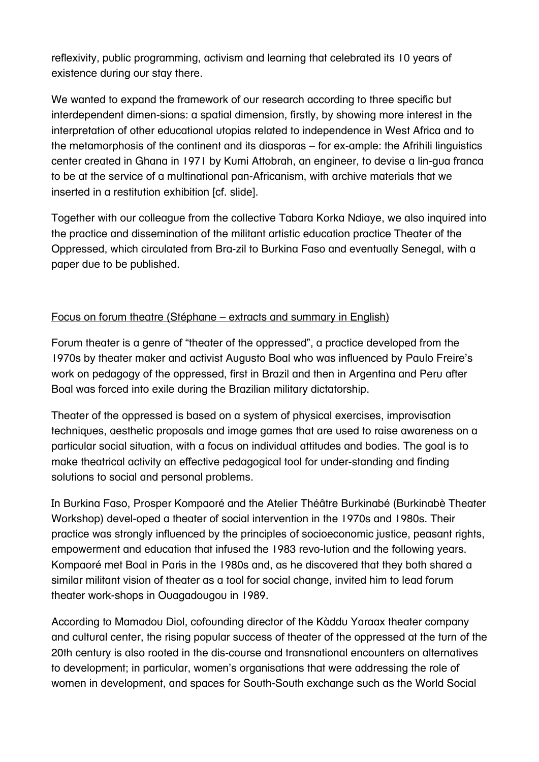reflexivity, public programming, activism and learning that celebrated its 10 years of existence during our stay there.

We wanted to expand the framework of our research according to three specific but interdependent dimen-sions: a spatial dimension, firstly, by showing more interest in the interpretation of other educational utopias related to independence in West Africa and to the metamorphosis of the continent and its diasporas – for ex-ample: the Afrihili linguistics center created in Ghana in 1971 by Kumi Attobrah, an engineer, to devise a lin-gua franca to be at the service of a multinational pan-Africanism, with archive materials that we inserted in a restitution exhibition [cf. slide].

Together with our colleague from the collective Tabara Korka Ndiaye, we also inquired into the practice and dissemination of the militant artistic education practice Theater of the Oppressed, which circulated from Bra-zil to Burkina Faso and eventually Senegal, with a paper due to be published.

### Focus on forum theatre (Stéphane – extracts and summary in English)

Forum theater is a genre of "theater of the oppressed", a practice developed from the 1970s by theater maker and activist Augusto Boal who was influenced by Paulo Freire's work on pedagogy of the oppressed, first in Brazil and then in Argentina and Peru after Boal was forced into exile during the Brazilian military dictatorship.

Theater of the oppressed is based on a system of physical exercises, improvisation techniques, aesthetic proposals and image games that are used to raise awareness on a particular social situation, with a focus on individual attitudes and bodies. The goal is to make theatrical activity an effective pedagogical tool for under-standing and finding solutions to social and personal problems.

In Burkina Faso, Prosper Kompaoré and the Atelier Théâtre Burkinabé (Burkinabè Theater Workshop) devel-oped a theater of social intervention in the 1970s and 1980s. Their practice was strongly influenced by the principles of socioeconomic justice, peasant rights, empowerment and education that infused the 1983 revo-lution and the following years. Kompaoré met Boal in Paris in the 1980s and, as he discovered that they both shared a similar militant vision of theater as a tool for social change, invited him to lead forum theater work-shops in Ouagadougou in 1989.

According to Mamadou Diol, cofounding director of the Kàddu Yaraax theater company and cultural center, the rising popular success of theater of the oppressed at the turn of the 20th century is also rooted in the dis-course and transnational encounters on alternatives to development; in particular, women's organisations that were addressing the role of women in development, and spaces for South-South exchange such as the World Social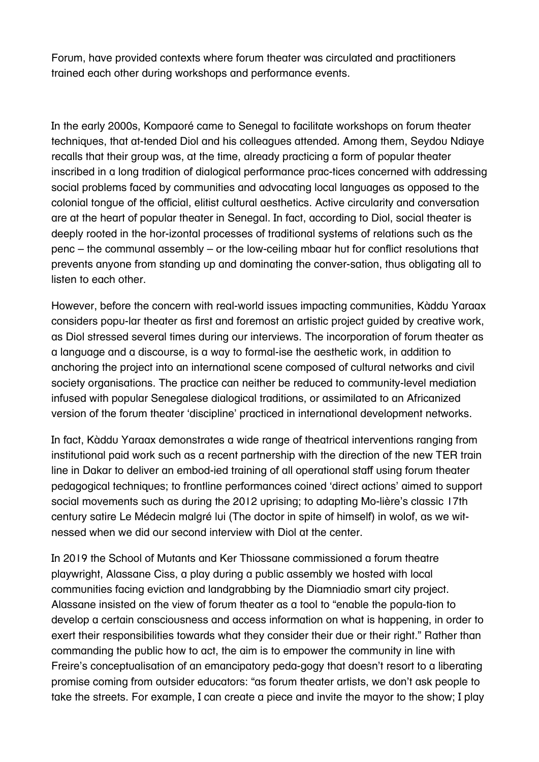Forum, have provided contexts where forum theater was circulated and practitioners trained each other during workshops and performance events.

In the early 2000s, Kompaoré came to Senegal to facilitate workshops on forum theater techniques, that at-tended Diol and his colleagues attended. Among them, Seydou Ndiaye recalls that their group was, at the time, already practicing a form of popular theater inscribed in a long tradition of dialogical performance prac-tices concerned with addressing social problems faced by communities and advocating local languages as opposed to the colonial tongue of the official, elitist cultural aesthetics. Active circularity and conversation are at the heart of popular theater in Senegal. In fact, according to Diol, social theater is deeply rooted in the hor-izontal processes of traditional systems of relations such as the penc – the communal assembly – or the low-ceiling mbaar hut for conflict resolutions that prevents anyone from standing up and dominating the conver-sation, thus obligating all to listen to each other.

However, before the concern with real-world issues impacting communities, Kàddu Yaraax considers popu-lar theater as first and foremost an artistic project guided by creative work, as Diol stressed several times during our interviews. The incorporation of forum theater as a language and a discourse, is a way to formal-ise the aesthetic work, in addition to anchoring the project into an international scene composed of cultural networks and civil society organisations. The practice can neither be reduced to community-level mediation infused with popular Senegalese dialogical traditions, or assimilated to an Africanized version of the forum theater 'discipline' practiced in international development networks.

In fact, Kàddu Yaraax demonstrates a wide range of theatrical interventions ranging from institutional paid work such as a recent partnership with the direction of the new TER train line in Dakar to deliver an embod-ied training of all operational staff using forum theater pedagogical techniques; to frontline performances coined 'direct actions' aimed to support social movements such as during the 2012 uprising; to adapting Mo-lière's classic 17th century satire Le Médecin malgré lui (The doctor in spite of himself) in wolof, as we witnessed when we did our second interview with Diol at the center.

In 2019 the School of Mutants and Ker Thiossane commissioned a forum theatre playwright, Alassane Ciss, a play during a public assembly we hosted with local communities facing eviction and landgrabbing by the Diamniadio smart city project. Alassane insisted on the view of forum theater as a tool to "enable the popula-tion to develop a certain consciousness and access information on what is happening, in order to exert their responsibilities towards what they consider their due or their right." Rather than commanding the public how to act, the aim is to empower the community in line with Freire's conceptualisation of an emancipatory peda-gogy that doesn't resort to a liberating promise coming from outsider educators: "as forum theater artists, we don't ask people to take the streets. For example, I can create a piece and invite the mayor to the show; I play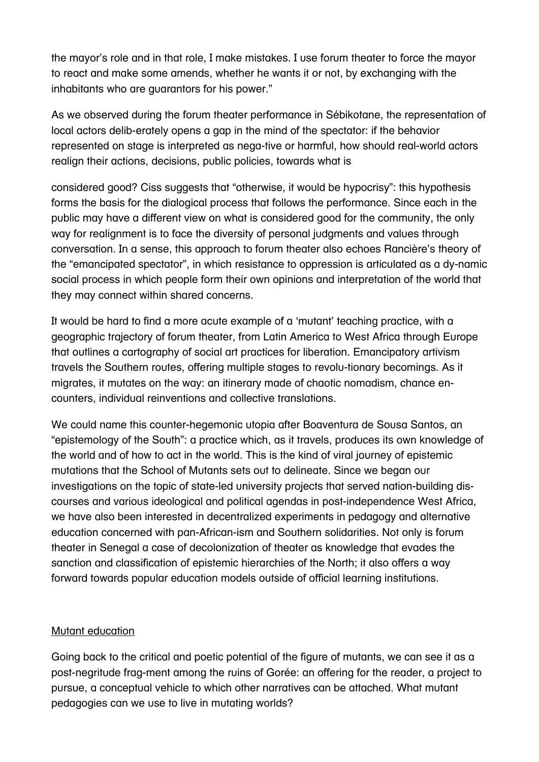the mayor's role and in that role, I make mistakes. I use forum theater to force the mayor to react and make some amends, whether he wants it or not, by exchanging with the inhabitants who are guarantors for his power."

As we observed during the forum theater performance in Sébikotane, the representation of local actors delib-erately opens a gap in the mind of the spectator: if the behavior represented on stage is interpreted as nega-tive or harmful, how should real-world actors realign their actions, decisions, public policies, towards what is

considered good? Ciss suggests that "otherwise, it would be hypocrisy": this hypothesis forms the basis for the dialogical process that follows the performance. Since each in the public may have a different view on what is considered good for the community, the only way for realignment is to face the diversity of personal judgments and values through conversation. In a sense, this approach to forum theater also echoes Rancière's theory of the "emancipated spectator", in which resistance to oppression is articulated as a dy-namic social process in which people form their own opinions and interpretation of the world that they may connect within shared concerns.

It would be hard to find a more acute example of a 'mutant' teaching practice, with a geographic trajectory of forum theater, from Latin America to West Africa through Europe that outlines a cartography of social art practices for liberation. Emancipatory artivism travels the Southern routes, offering multiple stages to revolu-tionary becomings. As it migrates, it mutates on the way: an itinerary made of chaotic nomadism, chance encounters, individual reinventions and collective translations.

We could name this counter-hegemonic utopia after Boaventura de Sousa Santos, an "epistemology of the South": a practice which, as it travels, produces its own knowledge of the world and of how to act in the world. This is the kind of viral journey of epistemic mutations that the School of Mutants sets out to delineate. Since we began our investigations on the topic of state-led university projects that served nation-building discourses and various ideological and political agendas in post-independence West Africa, we have also been interested in decentralized experiments in pedagogy and alternative education concerned with pan-African-ism and Southern solidarities. Not only is forum theater in Senegal a case of decolonization of theater as knowledge that evades the sanction and classification of epistemic hierarchies of the North; it also offers a way forward towards popular education models outside of official learning institutions.

#### Mutant education

Going back to the critical and poetic potential of the figure of mutants, we can see it as a post-negritude frag-ment among the ruins of Gorée: an offering for the reader, a project to pursue, a conceptual vehicle to which other narratives can be attached. What mutant pedagogies can we use to live in mutating worlds?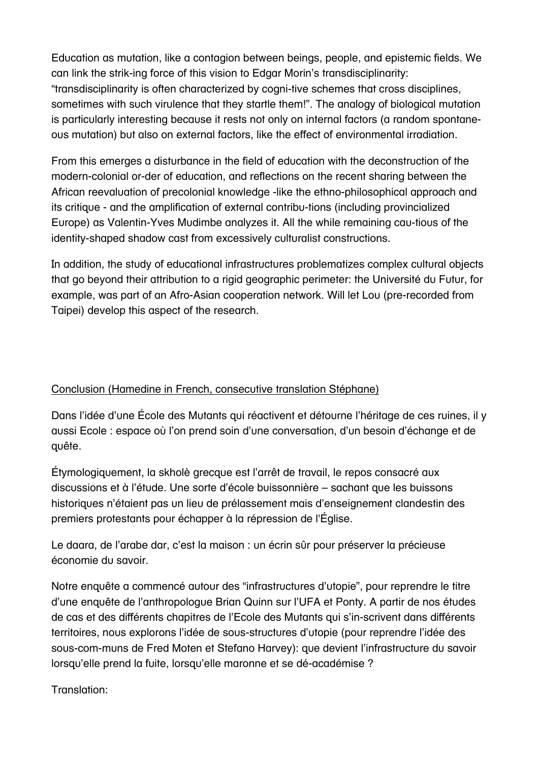Education as mutation, like a contagion between beings, people, and epistemic fields. We can link the strik-ing force of this vision to Edgar Morin's transdisciplinarity: "transdisciplinarity is often characterized by cogni-tive schemes that cross disciplines, sometimes with such virulence that they startle them!". The analogy of biological mutation is particularly interesting because it rests not only on internal factors (a random spontaneous mutation) but also on external factors, like the effect of environmental irradiation.

From this emerges a disturbance in the field of education with the deconstruction of the modern-colonial or-der of education, and reflections on the recent sharing between the African reevaluation of precolonial knowledge -like the ethno-philosophical approach and its critique - and the amplification of external contribu-tions (including provincialized Europe) as Valentin-Yves Mudimbe analyzes it. All the while remaining cau-tious of the identity-shaped shadow cast from excessively culturalist constructions.

In addition, the study of educational infrastructures problematizes complex cultural objects that go beyond their attribution to a rigid geographic perimeter: the Université du Futur, for example, was part of an Afro-Asian cooperation network. Will let Lou (pre-recorded from Taipei) develop this aspect of the research.

#### Conclusion (Hamedine in French, consecutive translation Stéphane)

Dans l'idée d'une École des Mutants qui réactivent et détourne l'héritage de ces ruines, il y aussi Ecole : espace où l'on prend soin d'une conversation, d'un besoin d'échange et de quête.

Étymologiquement, la skholè grecque est l'arrêt de travail, le repos consacré aux discussions et à l'étude. Une sorte d'école buissonnière – sachant que les buissons historiques n'étaient pas un lieu de prélassement mais d'enseignement clandestin des premiers protestants pour échapper à la répression de l'Église.

Le daara, de l'arabe dar, c'est la maison : un écrin sûr pour préserver la précieuse économie du savoir.

Notre enquête a commencé autour des "infrastructures d'utopie", pour reprendre le titre d'une enquête de l'anthropologue Brian Quinn sur l'UFA et Ponty. A partir de nos études de cas et des différents chapitres de l'Ecole des Mutants qui s'in-scrivent dans différents territoires, nous explorons l'idée de sous-structures d'utopie (pour reprendre l'idée des sous-com-muns de Fred Moten et Stefano Harvey): que devient l'infrastructure du savoir lorsqu'elle prend la fuite, lorsqu'elle maronne et se dé-académise ?

Translation: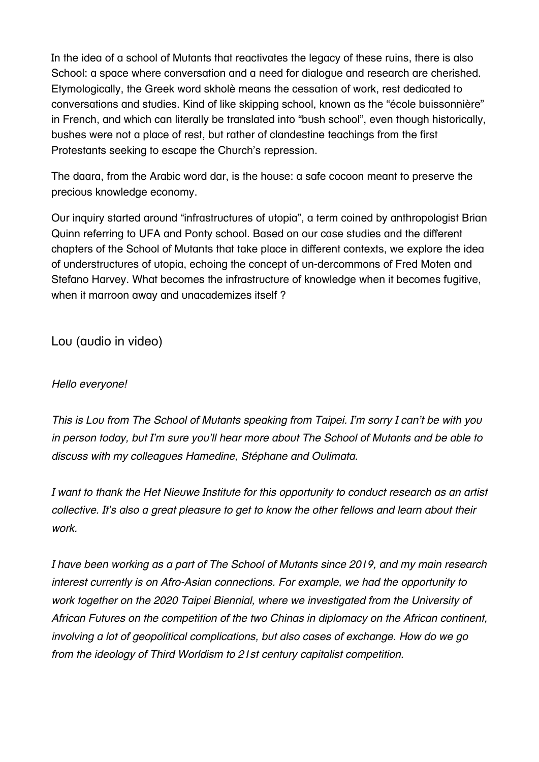In the idea of a school of Mutants that reactivates the legacy of these ruins, there is also School: a space where conversation and a need for dialogue and research are cherished. Etymologically, the Greek word skholè means the cessation of work, rest dedicated to conversations and studies. Kind of like skipping school, known as the "école buissonnière" in French, and which can literally be translated into "bush school", even though historically, bushes were not a place of rest, but rather of clandestine teachings from the first Protestants seeking to escape the Church's repression.

The daara, from the Arabic word dar, is the house: a safe cocoon meant to preserve the precious knowledge economy.

Our inquiry started around "infrastructures of utopia", a term coined by anthropologist Brian Quinn referring to UFA and Ponty school. Based on our case studies and the different chapters of the School of Mutants that take place in different contexts, we explore the idea of understructures of utopia, echoing the concept of un-dercommons of Fred Moten and Stefano Harvey. What becomes the infrastructure of knowledge when it becomes fugitive, when it marroon away and unacademizes itself?

Lou (audio in video)

### *Hello everyone!*

*This is Lou from The School of Mutants speaking from Taipei. I'm sorry I can't be with you in person today, but I'm sure you'll hear more about The School of Mutants and be able to discuss with my colleagues Hamedine, Stéphane and Oulimata.*

*I want to thank the Het Nieuwe Institute for this opportunity to conduct research as an artist collective. It's also a great pleasure to get to know the other fellows and learn about their work.*

*I have been working as a part of The School of Mutants since 2019, and my main research interest currently is on Afro-Asian connections. For example, we had the opportunity to work together on the 2020 Taipei Biennial, where we investigated from the University of African Futures on the competition of the two Chinas in diplomacy on the African continent, involving a lot of geopolitical complications, but also cases of exchange. How do we go from the ideology of Third Worldism to 21st century capitalist competition.*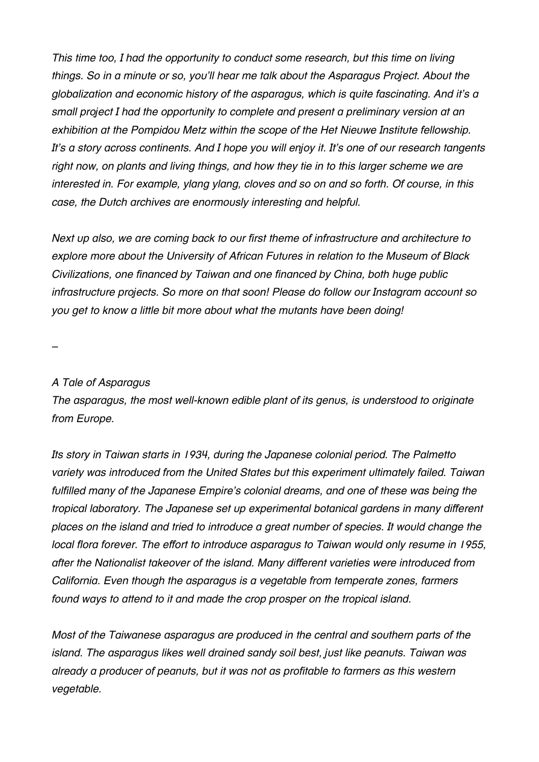*This time too, I had the opportunity to conduct some research, but this time on living things. So in a minute or so, you'll hear me talk about the Asparagus Project. About the globalization and economic history of the asparagus, which is quite fascinating. And it's a small project I had the opportunity to complete and present a preliminary version at an exhibition at the Pompidou Metz within the scope of the Het Nieuwe Institute fellowship. It's a story across continents. And I hope you will enjoy it. It's one of our research tangents right now, on plants and living things, and how they tie in to this larger scheme we are interested in. For example, ylang ylang, cloves and so on and so forth. Of course, in this case, the Dutch archives are enormously interesting and helpful.*

*Next up also, we are coming back to our first theme of infrastructure and architecture to explore more about the University of African Futures in relation to the Museum of Black Civilizations, one financed by Taiwan and one financed by China, both huge public infrastructure projects. So more on that soon! Please do follow our Instagram account so you get to know a little bit more about what the mutants have been doing!*

*–*

#### *A Tale of Asparagus*

*The asparagus, the most well-known edible plant of its genus, is understood to originate from Europe.*

*Its story in Taiwan starts in 1934, during the Japanese colonial period. The Palmetto variety was introduced from the United States but this experiment ultimately failed. Taiwan fulfilled many of the Japanese Empire's colonial dreams, and one of these was being the tropical laboratory. The Japanese set up experimental botanical gardens in many different places on the island and tried to introduce a great number of species. It would change the local flora forever. The effort to introduce asparagus to Taiwan would only resume in 1955, after the Nationalist takeover of the island. Many different varieties were introduced from California. Even though the asparagus is a vegetable from temperate zones, farmers found ways to attend to it and made the crop prosper on the tropical island.*

*Most of the Taiwanese asparagus are produced in the central and southern parts of the island. The asparagus likes well drained sandy soil best, just like peanuts. Taiwan was already a producer of peanuts, but it was not as profitable to farmers as this western vegetable.*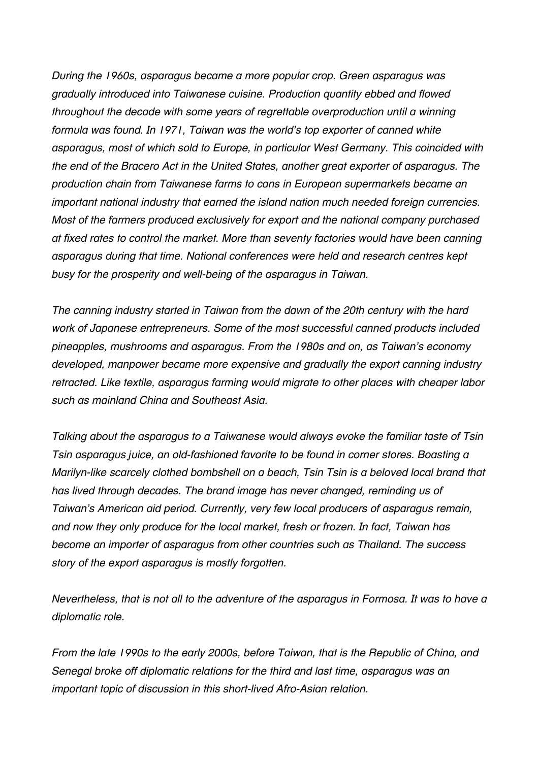*During the 1960s, asparagus became a more popular crop. Green asparagus was gradually introduced into Taiwanese cuisine. Production quantity ebbed and flowed throughout the decade with some years of regrettable overproduction until a winning formula was found. In 1971, Taiwan was the world's top exporter of canned white asparagus, most of which sold to Europe, in particular West Germany. This coincided with the end of the Bracero Act in the United States, another great exporter of asparagus. The production chain from Taiwanese farms to cans in European supermarkets became an important national industry that earned the island nation much needed foreign currencies. Most of the farmers produced exclusively for export and the national company purchased at fixed rates to control the market. More than seventy factories would have been canning asparagus during that time. National conferences were held and research centres kept busy for the prosperity and well-being of the asparagus in Taiwan.*

*The canning industry started in Taiwan from the dawn of the 20th century with the hard work of Japanese entrepreneurs. Some of the most successful canned products included pineapples, mushrooms and asparagus. From the 1980s and on, as Taiwan's economy developed, manpower became more expensive and gradually the export canning industry retracted. Like textile, asparagus farming would migrate to other places with cheaper labor such as mainland China and Southeast Asia.*

*Talking about the asparagus to a Taiwanese would always evoke the familiar taste of Tsin Tsin asparagus juice, an old-fashioned favorite to be found in corner stores. Boasting a Marilyn-like scarcely clothed bombshell on a beach, Tsin Tsin is a beloved local brand that has lived through decades. The brand image has never changed, reminding us of Taiwan's American aid period. Currently, very few local producers of asparagus remain, and now they only produce for the local market, fresh or frozen. In fact, Taiwan has become an importer of asparagus from other countries such as Thailand. The success story of the export asparagus is mostly forgotten.*

*Nevertheless, that is not all to the adventure of the asparagus in Formosa. It was to have a diplomatic role.*

*From the late 1990s to the early 2000s, before Taiwan, that is the Republic of China, and Senegal broke off diplomatic relations for the third and last time, asparagus was an important topic of discussion in this short-lived Afro-Asian relation.*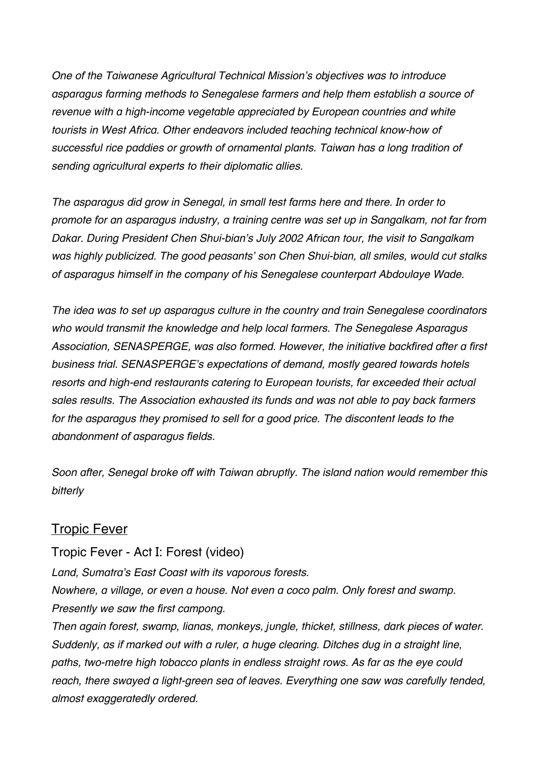*One of the Taiwanese Agricultural Technical Mission's objectives was to introduce asparagus farming methods to Senegalese farmers and help them establish a source of revenue with a high-income vegetable appreciated by European countries and white tourists in West Africa. Other endeavors included teaching technical know-how of successful rice paddies or growth of ornamental plants. Taiwan has a long tradition of sending agricultural experts to their diplomatic allies.*

*The asparagus did grow in Senegal, in small test farms here and there. In order to promote for an asparagus industry, a training centre was set up in Sangalkam, not far from Dakar. During President Chen Shui-bian's July 2002 African tour, the visit to Sangalkam was highly publicized. The good peasants' son Chen Shui-bian, all smiles, would cut stalks of asparagus himself in the company of his Senegalese counterpart Abdoulaye Wade.*

*The idea was to set up asparagus culture in the country and train Senegalese coordinators who would transmit the knowledge and help local farmers. The Senegalese Asparagus Association, SENASPERGE, was also formed. However, the initiative backfired after a first business trial. SENASPERGE's expectations of demand, mostly geared towards hotels resorts and high-end restaurants catering to European tourists, far exceeded their actual sales results. The Association exhausted its funds and was not able to pay back farmers*  for the asparagus they promised to sell for a good price. The discontent leads to the *abandonment of asparagus fields.*

*Soon after, Senegal broke off with Taiwan abruptly. The island nation would remember this bitterly*

### **Tropic Fever**

Tropic Fever - Act I: Forest (video)

*Land, Sumatra's East Coast with its vaporous forests.*

*Nowhere, a village, or even a house. Not even a coco palm. Only forest and swamp. Presently we saw the first campong.*

*Then again forest, swamp, lianas, monkeys, jungle, thicket, stillness, dark pieces of water. Suddenly, as if marked out with a ruler, a huge clearing. Ditches dug in a straight line, paths, two-metre high tobacco plants in endless straight rows. As far as the eye could reach, there swayed a light-green sea of leaves. Everything one saw was carefully tended, almost exaggeratedly ordered.*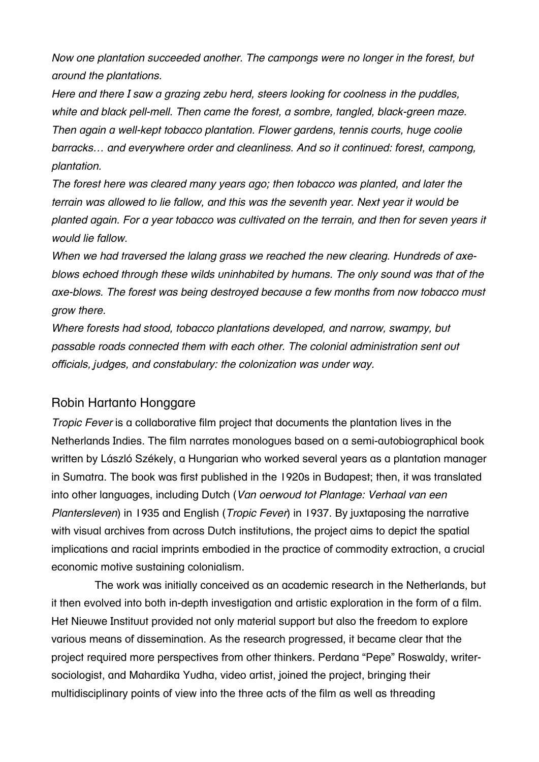*Now one plantation succeeded another. The campongs were no longer in the forest, but around the plantations.*

*Here and there I saw a grazing zebu herd, steers looking for coolness in the puddles, white and black pell-mell. Then came the forest, a sombre, tangled, black-green maze. Then again a well-kept tobacco plantation. Flower gardens, tennis courts, huge coolie barracks… and everywhere order and cleanliness. And so it continued: forest, campong, plantation.*

*The forest here was cleared many years ago; then tobacco was planted, and later the terrain was allowed to lie fallow, and this was the seventh year. Next year it would be planted again. For a year tobacco was cultivated on the terrain, and then for seven years it would lie fallow.*

*When we had traversed the lalang grass we reached the new clearing. Hundreds of axeblows echoed through these wilds uninhabited by humans. The only sound was that of the axe-blows. The forest was being destroyed because a few months from now tobacco must grow there.*

*Where forests had stood, tobacco plantations developed, and narrow, swampy, but passable roads connected them with each other. The colonial administration sent out officials, judges, and constabulary: the colonization was under way.*

#### Robin Hartanto Honggare

*Tropic Fever* is a collaborative film project that documents the plantation lives in the Netherlands Indies. The film narrates monologues based on a semi-autobiographical book written by László Székely, a Hungarian who worked several years as a plantation manager in Sumatra. The book was first published in the 1920s in Budapest; then, it was translated into other languages, including Dutch (*Van oerwoud tot Plantage: Verhaal van een Plantersleven*) in 1935 and English (*Tropic Fever*) in 1937. By juxtaposing the narrative with visual archives from across Dutch institutions, the project aims to depict the spatial implications and racial imprints embodied in the practice of commodity extraction, a crucial economic motive sustaining colonialism.

The work was initially conceived as an academic research in the Netherlands, but it then evolved into both in-depth investigation and artistic exploration in the form of a film. Het Nieuwe Instituut provided not only material support but also the freedom to explore various means of dissemination. As the research progressed, it became clear that the project required more perspectives from other thinkers. Perdana "Pepe" Roswaldy, writersociologist, and Mahardika Yudha, video artist, joined the project, bringing their multidisciplinary points of view into the three acts of the film as well as threading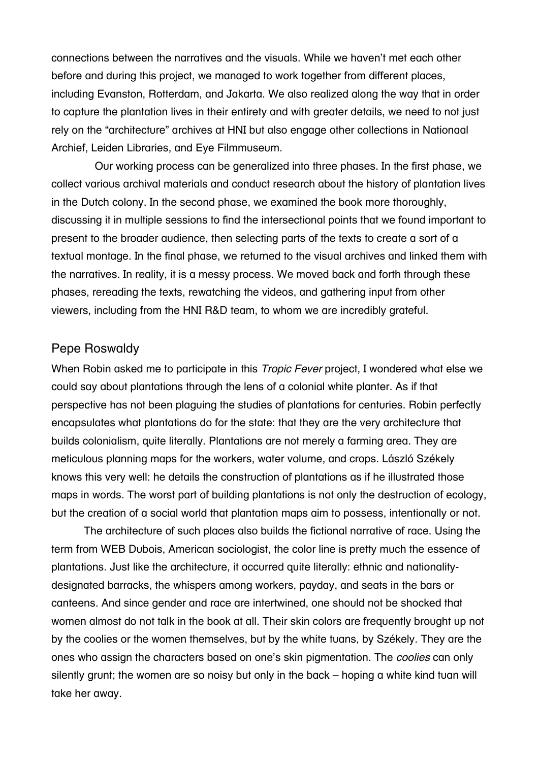connections between the narratives and the visuals. While we haven't met each other before and during this project, we managed to work together from different places, including Evanston, Rotterdam, and Jakarta. We also realized along the way that in order to capture the plantation lives in their entirety and with greater details, we need to not just rely on the "architecture" archives at HNI but also engage other collections in Nationaal Archief, Leiden Libraries, and Eye Filmmuseum.

Our working process can be generalized into three phases. In the first phase, we collect various archival materials and conduct research about the history of plantation lives in the Dutch colony. In the second phase, we examined the book more thoroughly, discussing it in multiple sessions to find the intersectional points that we found important to present to the broader audience, then selecting parts of the texts to create a sort of a textual montage. In the final phase, we returned to the visual archives and linked them with the narratives. In reality, it is a messy process. We moved back and forth through these phases, rereading the texts, rewatching the videos, and gathering input from other viewers, including from the HNI R&D team, to whom we are incredibly grateful.

#### Pepe Roswaldy

When Robin asked me to participate in this *Tropic Fever* project, I wondered what else we could say about plantations through the lens of a colonial white planter. As if that perspective has not been plaguing the studies of plantations for centuries. Robin perfectly encapsulates what plantations do for the state: that they are the very architecture that builds colonialism, quite literally. Plantations are not merely a farming area. They are meticulous planning maps for the workers, water volume, and crops. László Székely knows this very well: he details the construction of plantations as if he illustrated those maps in words. The worst part of building plantations is not only the destruction of ecology, but the creation of a social world that plantation maps aim to possess, intentionally or not.

The architecture of such places also builds the fictional narrative of race. Using the term from WEB Dubois, American sociologist, the color line is pretty much the essence of plantations. Just like the architecture, it occurred quite literally: ethnic and nationalitydesignated barracks, the whispers among workers, payday, and seats in the bars or canteens. And since gender and race are intertwined, one should not be shocked that women almost do not talk in the book at all. Their skin colors are frequently brought up not by the coolies or the women themselves, but by the white tuans, by Székely. They are the ones who assign the characters based on one's skin pigmentation. The *coolies* can only silently grunt; the women are so noisy but only in the back – hoping a white kind tuan will take her away.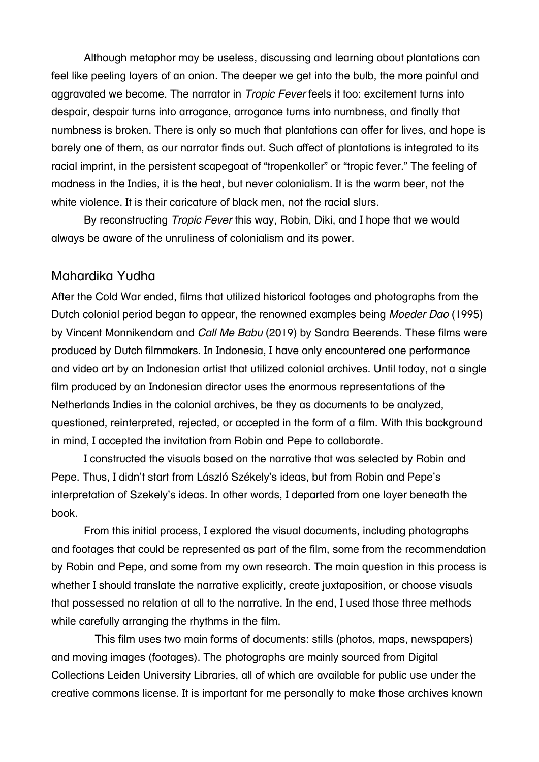Although metaphor may be useless, discussing and learning about plantations can feel like peeling layers of an onion. The deeper we get into the bulb, the more painful and aggravated we become. The narrator in *Tropic Fever* feels it too: excitement turns into despair, despair turns into arrogance, arrogance turns into numbness, and finally that numbness is broken. There is only so much that plantations can offer for lives, and hope is barely one of them, as our narrator finds out. Such affect of plantations is integrated to its racial imprint, in the persistent scapegoat of "tropenkoller" or "tropic fever." The feeling of madness in the Indies, it is the heat, but never colonialism. It is the warm beer, not the white violence. It is their caricature of black men, not the racial slurs.

By reconstructing *Tropic Fever* this way, Robin, Diki, and I hope that we would always be aware of the unruliness of colonialism and its power.

#### Mahardika Yudha

After the Cold War ended, films that utilized historical footages and photographs from the Dutch colonial period began to appear, the renowned examples being *Moeder Dao* (1995) by Vincent Monnikendam and *Call Me Babu* (2019) by Sandra Beerends. These films were produced by Dutch filmmakers. In Indonesia, I have only encountered one performance and video art by an Indonesian artist that utilized colonial archives. Until today, not a single film produced by an Indonesian director uses the enormous representations of the Netherlands Indies in the colonial archives, be they as documents to be analyzed, questioned, reinterpreted, rejected, or accepted in the form of a film. With this background in mind, I accepted the invitation from Robin and Pepe to collaborate.

I constructed the visuals based on the narrative that was selected by Robin and Pepe. Thus, I didn't start from László Székely's ideas, but from Robin and Pepe's interpretation of Szekely's ideas. In other words, I departed from one layer beneath the book.

From this initial process, I explored the visual documents, including photographs and footages that could be represented as part of the film, some from the recommendation by Robin and Pepe, and some from my own research. The main question in this process is whether I should translate the narrative explicitly, create juxtaposition, or choose visuals that possessed no relation at all to the narrative. In the end, I used those three methods while carefully arranging the rhythms in the film.

This film uses two main forms of documents: stills (photos, maps, newspapers) and moving images (footages). The photographs are mainly sourced from Digital Collections Leiden University Libraries, all of which are available for public use under the creative commons license. It is important for me personally to make those archives known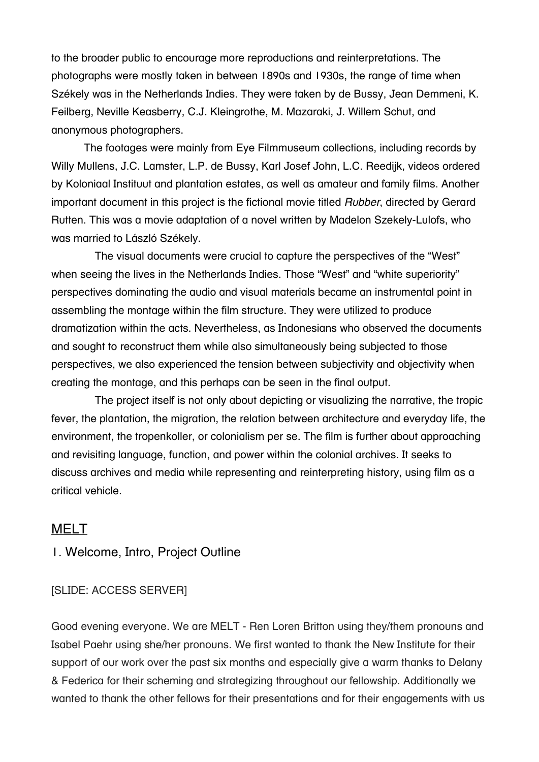to the broader public to encourage more reproductions and reinterpretations. The photographs were mostly taken in between 1890s and 1930s, the range of time when Székely was in the Netherlands Indies. They were taken by de Bussy, Jean Demmeni, K. Feilberg, Neville Keasberry, C.J. Kleingrothe, M. Mazaraki, J. Willem Schut, and anonymous photographers.

The footages were mainly from Eye Filmmuseum collections, including records by Willy Mullens, J.C. Lamster, L.P. de Bussy, Karl Josef John, L.C. Reedijk, videos ordered by Koloniaal Instituut and plantation estates, as well as amateur and family films. Another important document in this project is the fictional movie titled *Rubber*, directed by Gerard Rutten. This was a movie adaptation of a novel written by Madelon Szekely-Lulofs, who was married to László Székely.

The visual documents were crucial to capture the perspectives of the "West" when seeing the lives in the Netherlands Indies. Those "West" and "white superiority" perspectives dominating the audio and visual materials became an instrumental point in assembling the montage within the film structure. They were utilized to produce dramatization within the acts. Nevertheless, as Indonesians who observed the documents and sought to reconstruct them while also simultaneously being subjected to those perspectives, we also experienced the tension between subjectivity and objectivity when creating the montage, and this perhaps can be seen in the final output.

The project itself is not only about depicting or visualizing the narrative, the tropic fever, the plantation, the migration, the relation between architecture and everyday life, the environment, the tropenkoller, or colonialism per se. The film is further about approaching and revisiting language, function, and power within the colonial archives. It seeks to discuss archives and media while representing and reinterpreting history, using film as a critical vehicle.

# MELT

#### 1. Welcome, Intro, Project Outline

#### [SLIDE: ACCESS SERVER]

Good evening everyone. We are MELT - Ren Loren Britton using they/them pronouns and Isabel Paehr using she/her pronouns. We first wanted to thank the New Institute for their support of our work over the past six months and especially give a warm thanks to Delany & Federica for their scheming and strategizing throughout our fellowship. Additionally we wanted to thank the other fellows for their presentations and for their engagements with us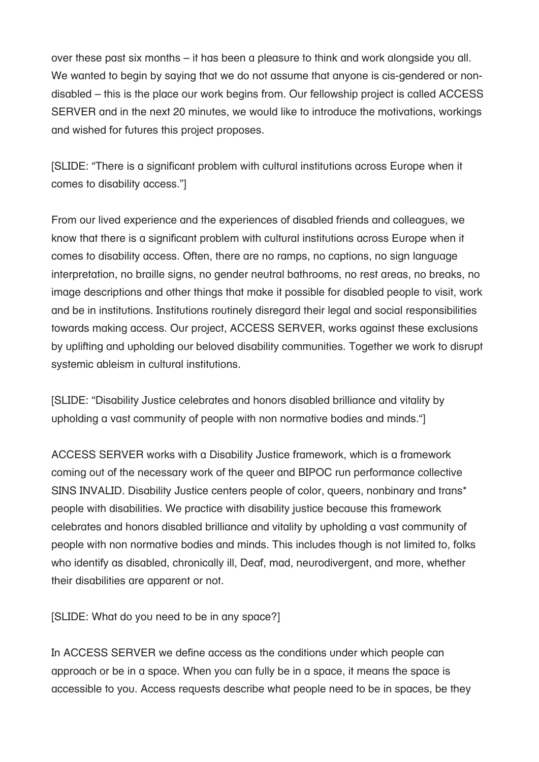over these past six months – it has been a pleasure to think and work alongside you all. We wanted to begin by saying that we do not assume that anyone is cis-gendered or nondisabled – this is the place our work begins from. Our fellowship project is called ACCESS SERVER and in the next 20 minutes, we would like to introduce the motivations, workings and wished for futures this project proposes.

[SLIDE: "There is a significant problem with cultural institutions across Europe when it comes to disability access."]

From our lived experience and the experiences of disabled friends and colleagues, we know that there is a significant problem with cultural institutions across Europe when it comes to disability access. Often, there are no ramps, no captions, no sign language interpretation, no braille signs, no gender neutral bathrooms, no rest areas, no breaks, no image descriptions and other things that make it possible for disabled people to visit, work and be in institutions. Institutions routinely disregard their legal and social responsibilities towards making access. Our project, ACCESS SERVER, works against these exclusions by uplifting and upholding our beloved disability communities. Together we work to disrupt systemic ableism in cultural institutions.

[SLIDE: "Disability Justice celebrates and honors disabled brilliance and vitality by upholding a vast community of people with non normative bodies and minds."]

ACCESS SERVER works with a Disability Justice framework, which is a framework coming out of the necessary work of the queer and BIPOC run performance collective SINS INVALID. Disability Justice centers people of color, queers, nonbinary and trans\* people with disabilities. We practice with disability justice because this framework celebrates and honors disabled brilliance and vitality by upholding a vast community of people with non normative bodies and minds. This includes though is not limited to, folks who identify as disabled, chronically ill, Deaf, mad, neurodivergent, and more, whether their disabilities are apparent or not.

[SLIDE: What do you need to be in any space?]

In ACCESS SERVER we define access as the conditions under which people can approach or be in a space. When you can fully be in a space, it means the space is accessible to you. Access requests describe what people need to be in spaces, be they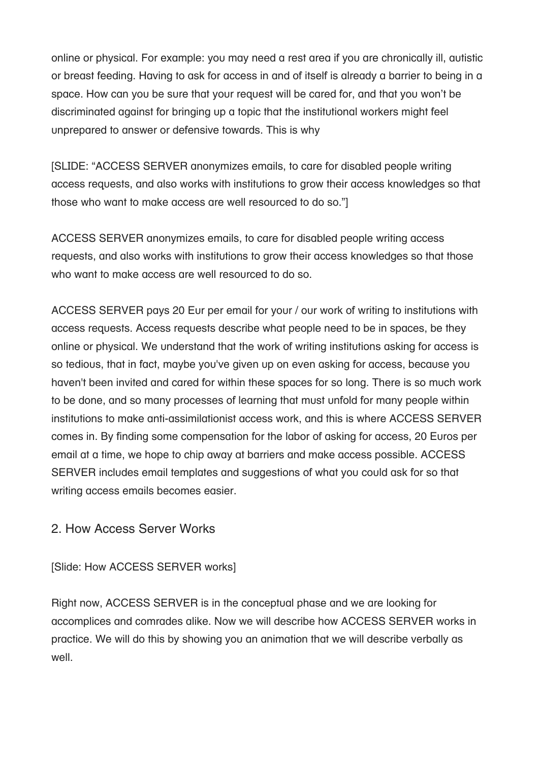online or physical. For example: you may need a rest area if you are chronically ill, autistic or breast feeding. Having to ask for access in and of itself is already a barrier to being in a space. How can you be sure that your request will be cared for, and that you won't be discriminated against for bringing up a topic that the institutional workers might feel unprepared to answer or defensive towards. This is why

[SLIDE: "ACCESS SERVER anonymizes emails, to care for disabled people writing access requests, and also works with institutions to grow their access knowledges so that those who want to make access are well resourced to do so."]

ACCESS SERVER anonymizes emails, to care for disabled people writing access requests, and also works with institutions to grow their access knowledges so that those who want to make access are well resourced to do so.

ACCESS SERVER pays 20 Eur per email for your / our work of writing to institutions with access requests. Access requests describe what people need to be in spaces, be they online or physical. We understand that the work of writing institutions asking for access is so tedious, that in fact, maybe you've given up on even asking for access, because you haven't been invited and cared for within these spaces for so long. There is so much work to be done, and so many processes of learning that must unfold for many people within institutions to make anti-assimilationist access work, and this is where ACCESS SERVER comes in. By finding some compensation for the labor of asking for access, 20 Euros per email at a time, we hope to chip away at barriers and make access possible. ACCESS SERVER includes email templates and suggestions of what you could ask for so that writing access emails becomes easier.

2. How Access Server Works

[Slide: How ACCESS SERVER works]

Right now, ACCESS SERVER is in the conceptual phase and we are looking for accomplices and comrades alike. Now we will describe how ACCESS SERVER works in practice. We will do this by showing you an animation that we will describe verbally as well.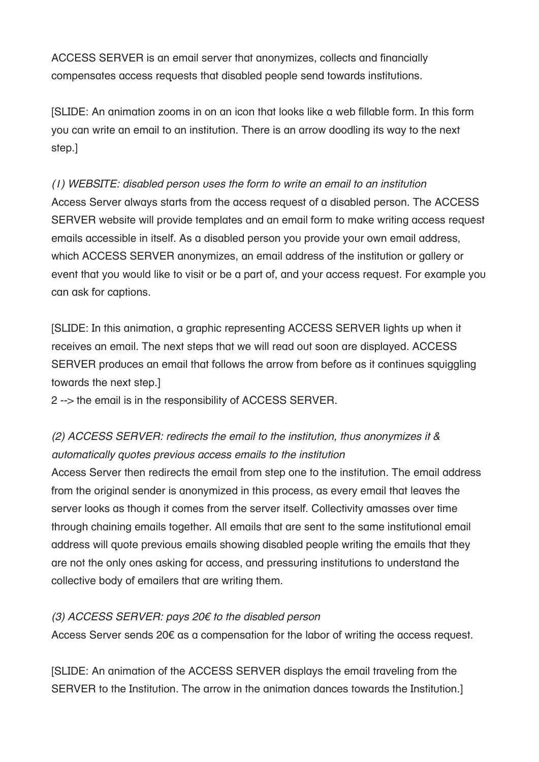ACCESS SERVER is an email server that anonymizes, collects and financially compensates access requests that disabled people send towards institutions.

[SLIDE: An animation zooms in on an icon that looks like a web fillable form. In this form you can write an email to an institution. There is an arrow doodling its way to the next step.]

*(1) WEBSITE: disabled person uses the form to write an email to an institution* Access Server always starts from the access request of a disabled person. The ACCESS SERVER website will provide templates and an email form to make writing access request emails accessible in itself. As a disabled person you provide your own email address, which ACCESS SERVER anonymizes, an email address of the institution or gallery or event that you would like to visit or be a part of, and your access request. For example you can ask for captions.

[SLIDE: In this animation, a graphic representing ACCESS SERVER lights up when it receives an email. The next steps that we will read out soon are displayed. ACCESS SERVER produces an email that follows the arrow from before as it continues squiggling towards the next step.]

2 --> the email is in the responsibility of ACCESS SERVER.

# *(2) ACCESS SERVER: redirects the email to the institution, thus anonymizes it & automatically quotes previous access emails to the institution*

Access Server then redirects the email from step one to the institution. The email address from the original sender is anonymized in this process, as every email that leaves the server looks as though it comes from the server itself. Collectivity amasses over time through chaining emails together. All emails that are sent to the same institutional email address will quote previous emails showing disabled people writing the emails that they are not the only ones asking for access, and pressuring institutions to understand the collective body of emailers that are writing them.

### *(3) ACCESS SERVER: pays 20*€ *to the disabled person*

Access Server sends 20€ as a compensation for the labor of writing the access request.

[SLIDE: An animation of the ACCESS SERVER displays the email traveling from the SERVER to the Institution. The arrow in the animation dances towards the Institution.]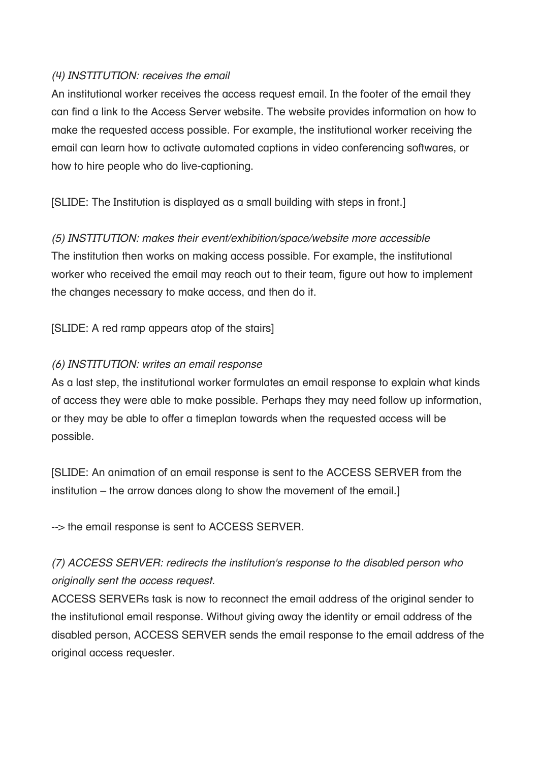#### *(4) INSTITUTION: receives the email*

An institutional worker receives the access request email. In the footer of the email they can find a link to the Access Server website. The website provides information on how to make the requested access possible. For example, the institutional worker receiving the email can learn how to activate automated captions in video conferencing softwares, or how to hire people who do live-captioning.

[SLIDE: The Institution is displayed as a small building with steps in front.]

*(5) INSTITUTION: makes their event/exhibition/space/website more accessible* The institution then works on making access possible. For example, the institutional worker who received the email may reach out to their team, figure out how to implement the changes necessary to make access, and then do it.

[SLIDE: A red ramp appears atop of the stairs]

#### *(6) INSTITUTION: writes an email response*

As a last step, the institutional worker formulates an email response to explain what kinds of access they were able to make possible. Perhaps they may need follow up information, or they may be able to offer a timeplan towards when the requested access will be possible.

[SLIDE: An animation of an email response is sent to the ACCESS SERVER from the institution – the arrow dances along to show the movement of the email.]

--> the email response is sent to ACCESS SERVER.

# *(7) ACCESS SERVER: redirects the institution's response to the disabled person who originally sent the access request.*

ACCESS SERVERs task is now to reconnect the email address of the original sender to the institutional email response. Without giving away the identity or email address of the disabled person, ACCESS SERVER sends the email response to the email address of the original access requester.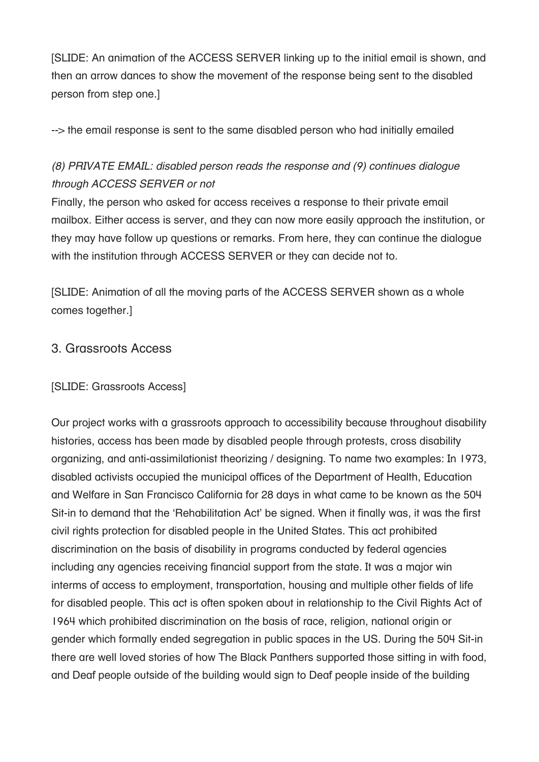[SLIDE: An animation of the ACCESS SERVER linking up to the initial email is shown, and then an arrow dances to show the movement of the response being sent to the disabled person from step one.]

--> the email response is sent to the same disabled person who had initially emailed

# *(8) PRIVATE EMAIL: disabled person reads the response and (9) continues dialogue through ACCESS SERVER or not*

Finally, the person who asked for access receives a response to their private email mailbox. Either access is server, and they can now more easily approach the institution, or they may have follow up questions or remarks. From here, they can continue the dialogue with the institution through ACCESS SERVER or they can decide not to.

[SLIDE: Animation of all the moving parts of the ACCESS SERVER shown as a whole comes together.]

# 3. Grassroots Access

#### [SLIDE: Grassroots Access]

Our project works with a grassroots approach to accessibility because throughout disability histories, access has been made by disabled people through protests, cross disability organizing, and anti-assimilationist theorizing / designing. To name two examples: In 1973, disabled activists occupied the municipal offices of the Department of Health, Education and Welfare in San Francisco California for 28 days in what came to be known as the 504 Sit-in to demand that the 'Rehabilitation Act' be signed. When it finally was, it was the first civil rights protection for disabled people in the United States. This act prohibited discrimination on the basis of disability in programs conducted by federal agencies including any agencies receiving financial support from the state. It was a major win interms of access to employment, transportation, housing and multiple other fields of life for disabled people. This act is often spoken about in relationship to the Civil Rights Act of 1964 which prohibited discrimination on the basis of race, religion, national origin or gender which formally ended segregation in public spaces in the US. During the 504 Sit-in there are well loved stories of how The Black Panthers supported those sitting in with food, and Deaf people outside of the building would sign to Deaf people inside of the building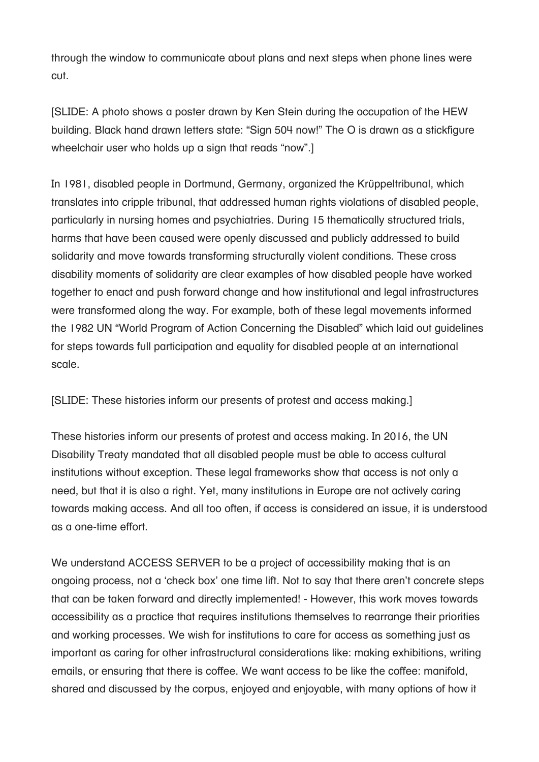through the window to communicate about plans and next steps when phone lines were cut.

[SLIDE: A photo shows a poster drawn by Ken Stein during the occupation of the HEW building. Black hand drawn letters state: "Sign 504 now!" The O is drawn as a stickfigure wheelchair user who holds up a sign that reads "now".

In 1981, disabled people in Dortmund, Germany, organized the Krüppeltribunal, which translates into cripple tribunal, that addressed human rights violations of disabled people, particularly in nursing homes and psychiatries. During 15 thematically structured trials, harms that have been caused were openly discussed and publicly addressed to build solidarity and move towards transforming structurally violent conditions. These cross disability moments of solidarity are clear examples of how disabled people have worked together to enact and push forward change and how institutional and legal infrastructures were transformed along the way. For example, both of these legal movements informed the 1982 UN "World Program of Action Concerning the Disabled" which laid out guidelines for steps towards full participation and equality for disabled people at an international scale.

[SLIDE: These histories inform our presents of protest and access making.]

These histories inform our presents of protest and access making. In 2016, the UN Disability Treaty mandated that all disabled people must be able to access cultural institutions without exception. These legal frameworks show that access is not only a need, but that it is also a right. Yet, many institutions in Europe are not actively caring towards making access. And all too often, if access is considered an issue, it is understood as a one-time effort.

We understand ACCESS SERVER to be a project of accessibility making that is an ongoing process, not a 'check box' one time lift. Not to say that there aren't concrete steps that can be taken forward and directly implemented! - However, this work moves towards accessibility as a practice that requires institutions themselves to rearrange their priorities and working processes. We wish for institutions to care for access as something just as important as caring for other infrastructural considerations like: making exhibitions, writing emails, or ensuring that there is coffee. We want access to be like the coffee: manifold, shared and discussed by the corpus, enjoyed and enjoyable, with many options of how it